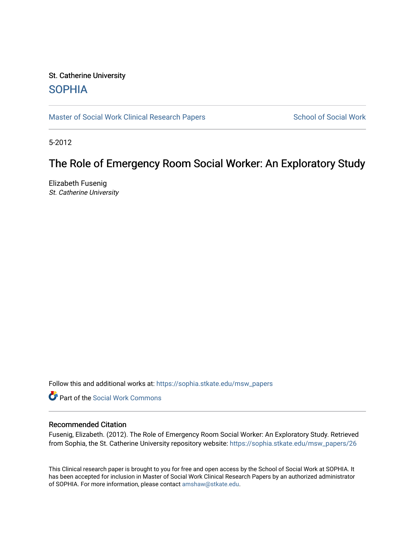# St. Catherine University **SOPHIA**

[Master of Social Work Clinical Research Papers](https://sophia.stkate.edu/msw_papers) School of Social Work

5-2012

# The Role of Emergency Room Social Worker: An Exploratory Study

Elizabeth Fusenig St. Catherine University

Follow this and additional works at: [https://sophia.stkate.edu/msw\\_papers](https://sophia.stkate.edu/msw_papers?utm_source=sophia.stkate.edu%2Fmsw_papers%2F26&utm_medium=PDF&utm_campaign=PDFCoverPages) 

Part of the [Social Work Commons](http://network.bepress.com/hgg/discipline/713?utm_source=sophia.stkate.edu%2Fmsw_papers%2F26&utm_medium=PDF&utm_campaign=PDFCoverPages)

## Recommended Citation

Fusenig, Elizabeth. (2012). The Role of Emergency Room Social Worker: An Exploratory Study. Retrieved from Sophia, the St. Catherine University repository website: [https://sophia.stkate.edu/msw\\_papers/26](https://sophia.stkate.edu/msw_papers/26?utm_source=sophia.stkate.edu%2Fmsw_papers%2F26&utm_medium=PDF&utm_campaign=PDFCoverPages) 

This Clinical research paper is brought to you for free and open access by the School of Social Work at SOPHIA. It has been accepted for inclusion in Master of Social Work Clinical Research Papers by an authorized administrator of SOPHIA. For more information, please contact [amshaw@stkate.edu.](mailto:amshaw@stkate.edu)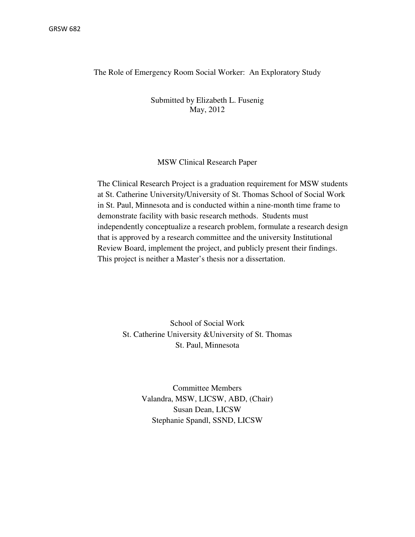The Role of Emergency Room Social Worker: An Exploratory Study

Submitted by Elizabeth L. Fusenig May, 2012

#### MSW Clinical Research Paper

The Clinical Research Project is a graduation requirement for MSW students at St. Catherine University/University of St. Thomas School of Social Work in St. Paul, Minnesota and is conducted within a nine-month time frame to demonstrate facility with basic research methods. Students must independently conceptualize a research problem, formulate a research design that is approved by a research committee and the university Institutional Review Board, implement the project, and publicly present their findings. This project is neither a Master's thesis nor a dissertation.

> School of Social Work St. Catherine University &University of St. Thomas St. Paul, Minnesota

> > Committee Members Valandra, MSW, LICSW, ABD, (Chair) Susan Dean, LICSW Stephanie Spandl, SSND, LICSW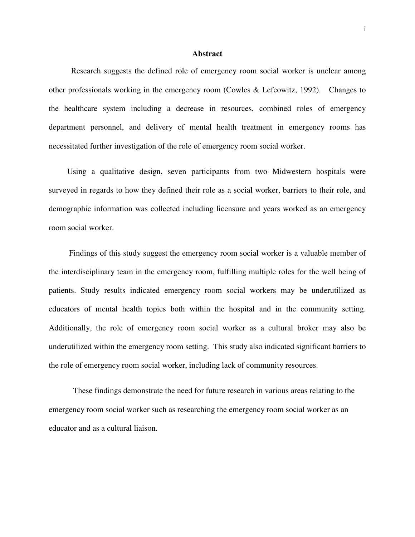#### **Abstract**

Research suggests the defined role of emergency room social worker is unclear among other professionals working in the emergency room (Cowles & Lefcowitz, 1992). Changes to the healthcare system including a decrease in resources, combined roles of emergency department personnel, and delivery of mental health treatment in emergency rooms has necessitated further investigation of the role of emergency room social worker.

 Using a qualitative design, seven participants from two Midwestern hospitals were surveyed in regards to how they defined their role as a social worker, barriers to their role, and demographic information was collected including licensure and years worked as an emergency room social worker.

 Findings of this study suggest the emergency room social worker is a valuable member of the interdisciplinary team in the emergency room, fulfilling multiple roles for the well being of patients. Study results indicated emergency room social workers may be underutilized as educators of mental health topics both within the hospital and in the community setting. Additionally, the role of emergency room social worker as a cultural broker may also be underutilized within the emergency room setting. This study also indicated significant barriers to the role of emergency room social worker, including lack of community resources.

 These findings demonstrate the need for future research in various areas relating to the emergency room social worker such as researching the emergency room social worker as an educator and as a cultural liaison.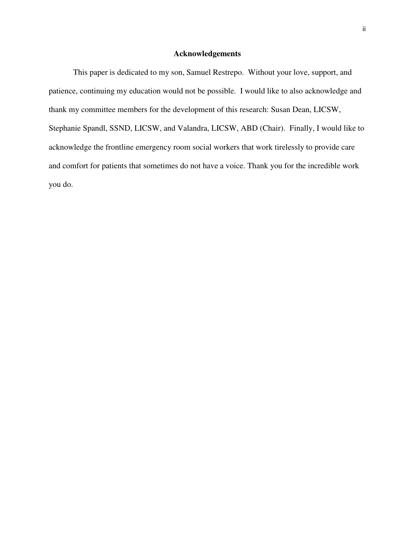## **Acknowledgements**

This paper is dedicated to my son, Samuel Restrepo. Without your love, support, and patience, continuing my education would not be possible. I would like to also acknowledge and thank my committee members for the development of this research: Susan Dean, LICSW, Stephanie Spandl, SSND, LICSW, and Valandra, LICSW, ABD (Chair). Finally, I would like to acknowledge the frontline emergency room social workers that work tirelessly to provide care and comfort for patients that sometimes do not have a voice. Thank you for the incredible work you do.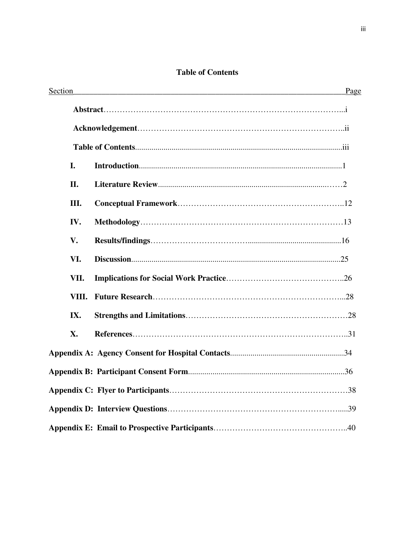## **Table of Contents**

| Section       |  | Page |
|---------------|--|------|
|               |  |      |
|               |  |      |
|               |  |      |
| I.            |  |      |
| II.           |  |      |
| Ш.            |  |      |
| IV.           |  |      |
| $V_{\bullet}$ |  |      |
| VI.           |  |      |
| VII.          |  |      |
| VIII.         |  |      |
| IX.           |  |      |
| X.            |  |      |
|               |  |      |
|               |  |      |
|               |  |      |
|               |  |      |
|               |  |      |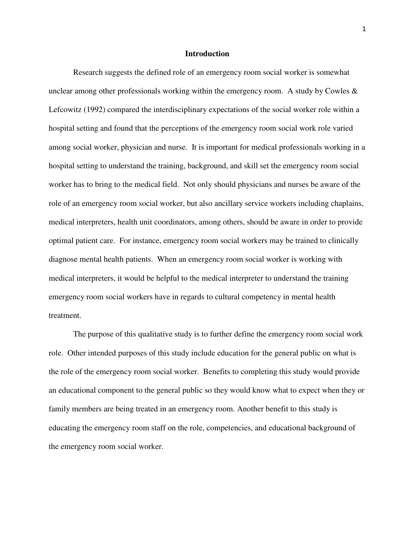#### **Introduction**

Research suggests the defined role of an emergency room social worker is somewhat unclear among other professionals working within the emergency room. A study by Cowles  $\&$ Lefcowitz (1992) compared the interdisciplinary expectations of the social worker role within a hospital setting and found that the perceptions of the emergency room social work role varied among social worker, physician and nurse. It is important for medical professionals working in a hospital setting to understand the training, background, and skill set the emergency room social worker has to bring to the medical field. Not only should physicians and nurses be aware of the role of an emergency room social worker, but also ancillary service workers including chaplains, medical interpreters, health unit coordinators, among others, should be aware in order to provide optimal patient care. For instance, emergency room social workers may be trained to clinically diagnose mental health patients. When an emergency room social worker is working with medical interpreters, it would be helpful to the medical interpreter to understand the training emergency room social workers have in regards to cultural competency in mental health treatment.

The purpose of this qualitative study is to further define the emergency room social work role. Other intended purposes of this study include education for the general public on what is the role of the emergency room social worker. Benefits to completing this study would provide an educational component to the general public so they would know what to expect when they or family members are being treated in an emergency room. Another benefit to this study is educating the emergency room staff on the role, competencies, and educational background of the emergency room social worker.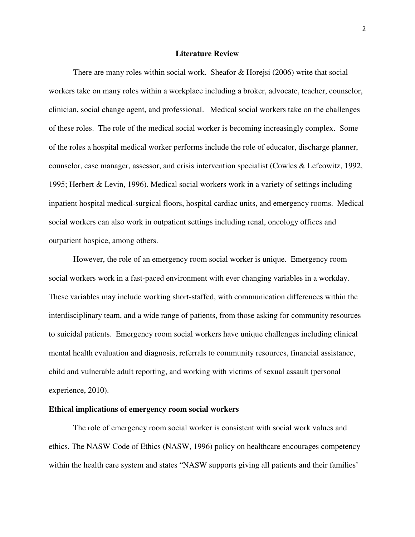#### **Literature Review**

There are many roles within social work. Sheafor & Horejsi (2006) write that social workers take on many roles within a workplace including a broker, advocate, teacher, counselor, clinician, social change agent, and professional. Medical social workers take on the challenges of these roles. The role of the medical social worker is becoming increasingly complex. Some of the roles a hospital medical worker performs include the role of educator, discharge planner, counselor, case manager, assessor, and crisis intervention specialist (Cowles & Lefcowitz, 1992, 1995; Herbert & Levin, 1996). Medical social workers work in a variety of settings including inpatient hospital medical-surgical floors, hospital cardiac units, and emergency rooms. Medical social workers can also work in outpatient settings including renal, oncology offices and outpatient hospice, among others.

 However, the role of an emergency room social worker is unique. Emergency room social workers work in a fast-paced environment with ever changing variables in a workday. These variables may include working short-staffed, with communication differences within the interdisciplinary team, and a wide range of patients, from those asking for community resources to suicidal patients. Emergency room social workers have unique challenges including clinical mental health evaluation and diagnosis, referrals to community resources, financial assistance, child and vulnerable adult reporting, and working with victims of sexual assault (personal experience, 2010).

## **Ethical implications of emergency room social workers**

The role of emergency room social worker is consistent with social work values and ethics. The NASW Code of Ethics (NASW, 1996) policy on healthcare encourages competency within the health care system and states "NASW supports giving all patients and their families"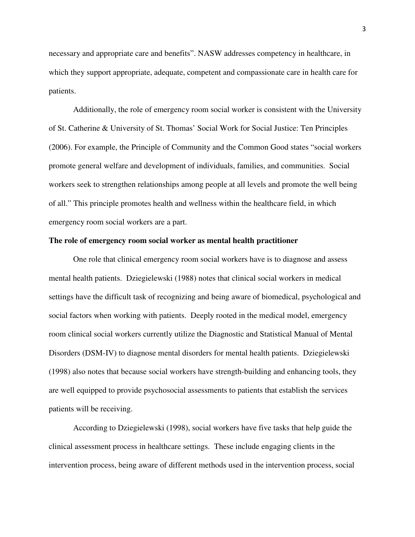necessary and appropriate care and benefits". NASW addresses competency in healthcare, in which they support appropriate, adequate, competent and compassionate care in health care for patients.

Additionally, the role of emergency room social worker is consistent with the University of St. Catherine & University of St. Thomas' Social Work for Social Justice: Ten Principles (2006). For example, the Principle of Community and the Common Good states "social workers promote general welfare and development of individuals, families, and communities. Social workers seek to strengthen relationships among people at all levels and promote the well being of all." This principle promotes health and wellness within the healthcare field, in which emergency room social workers are a part.

#### **The role of emergency room social worker as mental health practitioner**

 One role that clinical emergency room social workers have is to diagnose and assess mental health patients. Dziegielewski (1988) notes that clinical social workers in medical settings have the difficult task of recognizing and being aware of biomedical, psychological and social factors when working with patients. Deeply rooted in the medical model, emergency room clinical social workers currently utilize the Diagnostic and Statistical Manual of Mental Disorders (DSM-IV) to diagnose mental disorders for mental health patients. Dziegielewski (1998) also notes that because social workers have strength-building and enhancing tools, they are well equipped to provide psychosocial assessments to patients that establish the services patients will be receiving.

According to Dziegielewski (1998), social workers have five tasks that help guide the clinical assessment process in healthcare settings. These include engaging clients in the intervention process, being aware of different methods used in the intervention process, social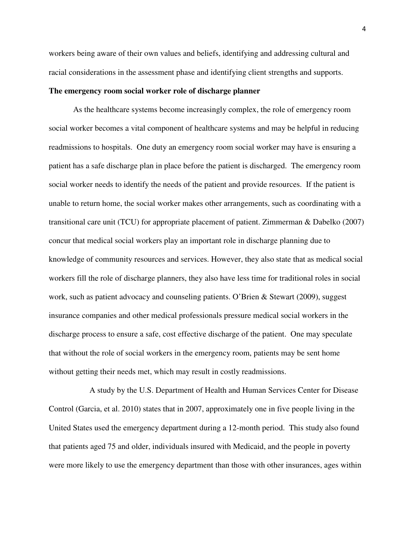workers being aware of their own values and beliefs, identifying and addressing cultural and racial considerations in the assessment phase and identifying client strengths and supports.

#### **The emergency room social worker role of discharge planner**

As the healthcare systems become increasingly complex, the role of emergency room social worker becomes a vital component of healthcare systems and may be helpful in reducing readmissions to hospitals. One duty an emergency room social worker may have is ensuring a patient has a safe discharge plan in place before the patient is discharged. The emergency room social worker needs to identify the needs of the patient and provide resources. If the patient is unable to return home, the social worker makes other arrangements, such as coordinating with a transitional care unit (TCU) for appropriate placement of patient. Zimmerman & Dabelko (2007) concur that medical social workers play an important role in discharge planning due to knowledge of community resources and services. However, they also state that as medical social workers fill the role of discharge planners, they also have less time for traditional roles in social work, such as patient advocacy and counseling patients. O'Brien & Stewart (2009), suggest insurance companies and other medical professionals pressure medical social workers in the discharge process to ensure a safe, cost effective discharge of the patient. One may speculate that without the role of social workers in the emergency room, patients may be sent home without getting their needs met, which may result in costly readmissions.

 A study by the U.S. Department of Health and Human Services Center for Disease Control (Garcia, et al. 2010) states that in 2007, approximately one in five people living in the United States used the emergency department during a 12-month period. This study also found that patients aged 75 and older, individuals insured with Medicaid, and the people in poverty were more likely to use the emergency department than those with other insurances, ages within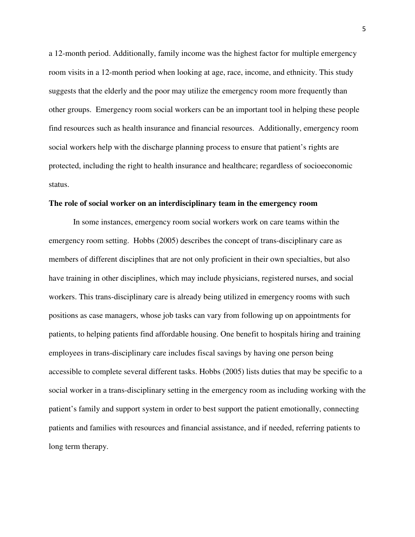a 12-month period. Additionally, family income was the highest factor for multiple emergency room visits in a 12-month period when looking at age, race, income, and ethnicity. This study suggests that the elderly and the poor may utilize the emergency room more frequently than other groups. Emergency room social workers can be an important tool in helping these people find resources such as health insurance and financial resources. Additionally, emergency room social workers help with the discharge planning process to ensure that patient's rights are protected, including the right to health insurance and healthcare; regardless of socioeconomic status.

#### **The role of social worker on an interdisciplinary team in the emergency room**

In some instances, emergency room social workers work on care teams within the emergency room setting. Hobbs (2005) describes the concept of trans-disciplinary care as members of different disciplines that are not only proficient in their own specialties, but also have training in other disciplines, which may include physicians, registered nurses, and social workers. This trans-disciplinary care is already being utilized in emergency rooms with such positions as case managers, whose job tasks can vary from following up on appointments for patients, to helping patients find affordable housing. One benefit to hospitals hiring and training employees in trans-disciplinary care includes fiscal savings by having one person being accessible to complete several different tasks. Hobbs (2005) lists duties that may be specific to a social worker in a trans-disciplinary setting in the emergency room as including working with the patient's family and support system in order to best support the patient emotionally, connecting patients and families with resources and financial assistance, and if needed, referring patients to long term therapy.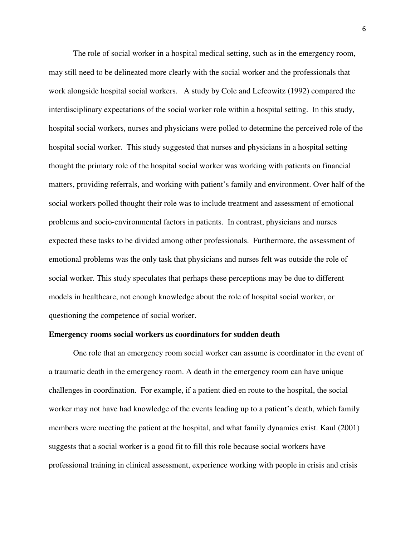The role of social worker in a hospital medical setting, such as in the emergency room, may still need to be delineated more clearly with the social worker and the professionals that work alongside hospital social workers. A study by Cole and Lefcowitz (1992) compared the interdisciplinary expectations of the social worker role within a hospital setting. In this study, hospital social workers, nurses and physicians were polled to determine the perceived role of the hospital social worker. This study suggested that nurses and physicians in a hospital setting thought the primary role of the hospital social worker was working with patients on financial matters, providing referrals, and working with patient's family and environment. Over half of the social workers polled thought their role was to include treatment and assessment of emotional problems and socio-environmental factors in patients. In contrast, physicians and nurses expected these tasks to be divided among other professionals. Furthermore, the assessment of emotional problems was the only task that physicians and nurses felt was outside the role of social worker. This study speculates that perhaps these perceptions may be due to different models in healthcare, not enough knowledge about the role of hospital social worker, or questioning the competence of social worker.

#### **Emergency rooms social workers as coordinators for sudden death**

One role that an emergency room social worker can assume is coordinator in the event of a traumatic death in the emergency room. A death in the emergency room can have unique challenges in coordination. For example, if a patient died en route to the hospital, the social worker may not have had knowledge of the events leading up to a patient's death, which family members were meeting the patient at the hospital, and what family dynamics exist. Kaul (2001) suggests that a social worker is a good fit to fill this role because social workers have professional training in clinical assessment, experience working with people in crisis and crisis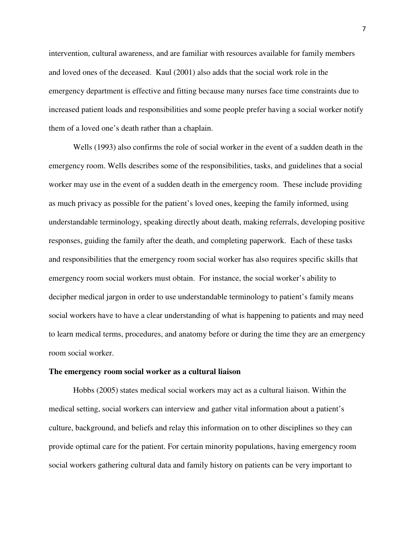intervention, cultural awareness, and are familiar with resources available for family members and loved ones of the deceased. Kaul (2001) also adds that the social work role in the emergency department is effective and fitting because many nurses face time constraints due to increased patient loads and responsibilities and some people prefer having a social worker notify them of a loved one's death rather than a chaplain.

Wells (1993) also confirms the role of social worker in the event of a sudden death in the emergency room. Wells describes some of the responsibilities, tasks, and guidelines that a social worker may use in the event of a sudden death in the emergency room. These include providing as much privacy as possible for the patient's loved ones, keeping the family informed, using understandable terminology, speaking directly about death, making referrals, developing positive responses, guiding the family after the death, and completing paperwork. Each of these tasks and responsibilities that the emergency room social worker has also requires specific skills that emergency room social workers must obtain. For instance, the social worker's ability to decipher medical jargon in order to use understandable terminology to patient's family means social workers have to have a clear understanding of what is happening to patients and may need to learn medical terms, procedures, and anatomy before or during the time they are an emergency room social worker.

#### **The emergency room social worker as a cultural liaison**

Hobbs (2005) states medical social workers may act as a cultural liaison. Within the medical setting, social workers can interview and gather vital information about a patient's culture, background, and beliefs and relay this information on to other disciplines so they can provide optimal care for the patient. For certain minority populations, having emergency room social workers gathering cultural data and family history on patients can be very important to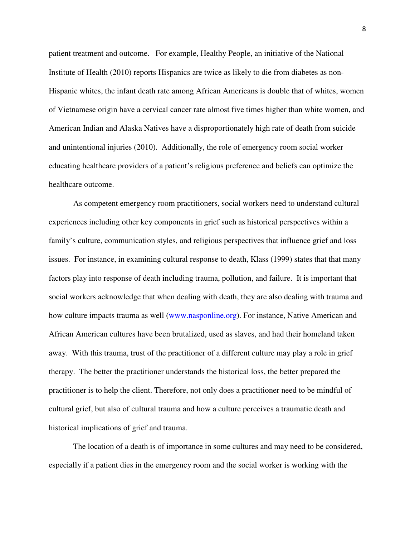patient treatment and outcome. For example, Healthy People, an initiative of the National Institute of Health (2010) reports Hispanics are twice as likely to die from diabetes as non-Hispanic whites, the infant death rate among African Americans is double that of whites, women of Vietnamese origin have a cervical cancer rate almost five times higher than white women, and American Indian and Alaska Natives have a disproportionately high rate of death from suicide and unintentional injuries (2010). Additionally, the role of emergency room social worker educating healthcare providers of a patient's religious preference and beliefs can optimize the healthcare outcome.

As competent emergency room practitioners, social workers need to understand cultural experiences including other key components in grief such as historical perspectives within a family's culture, communication styles, and religious perspectives that influence grief and loss issues. For instance, in examining cultural response to death, Klass (1999) states that that many factors play into response of death including trauma, pollution, and failure. It is important that social workers acknowledge that when dealing with death, they are also dealing with trauma and how culture impacts trauma as well (www.nasponline.org). For instance, Native American and African American cultures have been brutalized, used as slaves, and had their homeland taken away. With this trauma, trust of the practitioner of a different culture may play a role in grief therapy. The better the practitioner understands the historical loss, the better prepared the practitioner is to help the client. Therefore, not only does a practitioner need to be mindful of cultural grief, but also of cultural trauma and how a culture perceives a traumatic death and historical implications of grief and trauma.

The location of a death is of importance in some cultures and may need to be considered, especially if a patient dies in the emergency room and the social worker is working with the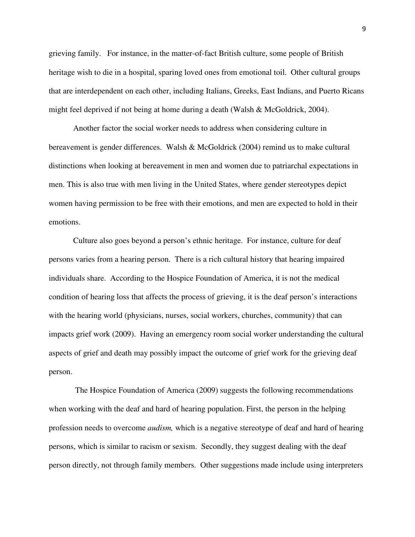grieving family. For instance, in the matter-of-fact British culture, some people of British heritage wish to die in a hospital, sparing loved ones from emotional toil. Other cultural groups that are interdependent on each other, including Italians, Greeks, East Indians, and Puerto Ricans might feel deprived if not being at home during a death (Walsh & McGoldrick, 2004).

Another factor the social worker needs to address when considering culture in bereavement is gender differences. Walsh & McGoldrick (2004) remind us to make cultural distinctions when looking at bereavement in men and women due to patriarchal expectations in men. This is also true with men living in the United States, where gender stereotypes depict women having permission to be free with their emotions, and men are expected to hold in their emotions.

Culture also goes beyond a person's ethnic heritage. For instance, culture for deaf persons varies from a hearing person. There is a rich cultural history that hearing impaired individuals share. According to the Hospice Foundation of America, it is not the medical condition of hearing loss that affects the process of grieving, it is the deaf person's interactions with the hearing world (physicians, nurses, social workers, churches, community) that can impacts grief work (2009). Having an emergency room social worker understanding the cultural aspects of grief and death may possibly impact the outcome of grief work for the grieving deaf person.

 The Hospice Foundation of America (2009) suggests the following recommendations when working with the deaf and hard of hearing population. First, the person in the helping profession needs to overcome *audism,* which is a negative stereotype of deaf and hard of hearing persons, which is similar to racism or sexism. Secondly, they suggest dealing with the deaf person directly, not through family members. Other suggestions made include using interpreters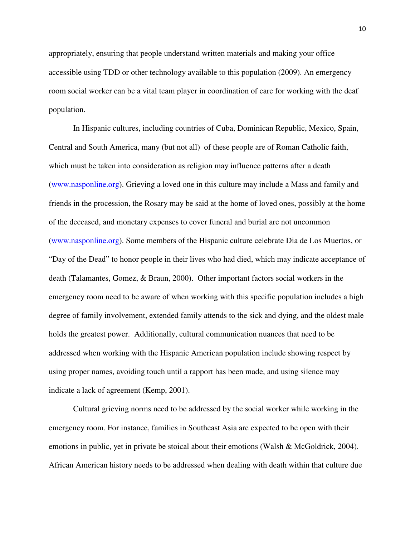appropriately, ensuring that people understand written materials and making your office accessible using TDD or other technology available to this population (2009). An emergency room social worker can be a vital team player in coordination of care for working with the deaf population.

In Hispanic cultures, including countries of Cuba, Dominican Republic, Mexico, Spain, Central and South America, many (but not all) of these people are of Roman Catholic faith, which must be taken into consideration as religion may influence patterns after a death (www.nasponline.org). Grieving a loved one in this culture may include a Mass and family and friends in the procession, the Rosary may be said at the home of loved ones, possibly at the home of the deceased, and monetary expenses to cover funeral and burial are not uncommon (www.nasponline.org). Some members of the Hispanic culture celebrate Dia de Los Muertos, or "Day of the Dead" to honor people in their lives who had died, which may indicate acceptance of death (Talamantes, Gomez, & Braun, 2000). Other important factors social workers in the emergency room need to be aware of when working with this specific population includes a high degree of family involvement, extended family attends to the sick and dying, and the oldest male holds the greatest power. Additionally, cultural communication nuances that need to be addressed when working with the Hispanic American population include showing respect by using proper names, avoiding touch until a rapport has been made, and using silence may indicate a lack of agreement (Kemp, 2001).

Cultural grieving norms need to be addressed by the social worker while working in the emergency room. For instance, families in Southeast Asia are expected to be open with their emotions in public, yet in private be stoical about their emotions (Walsh & McGoldrick, 2004). African American history needs to be addressed when dealing with death within that culture due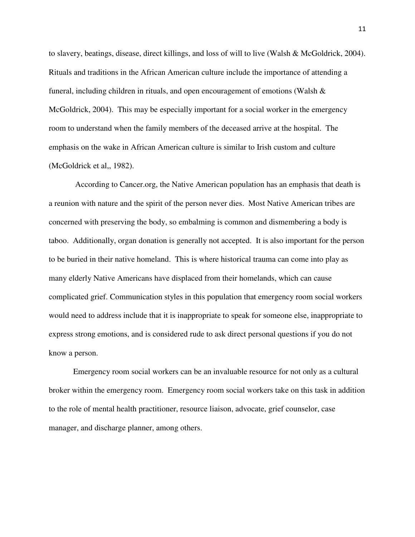to slavery, beatings, disease, direct killings, and loss of will to live (Walsh & McGoldrick, 2004). Rituals and traditions in the African American culture include the importance of attending a funeral, including children in rituals, and open encouragement of emotions (Walsh & McGoldrick, 2004). This may be especially important for a social worker in the emergency room to understand when the family members of the deceased arrive at the hospital. The emphasis on the wake in African American culture is similar to Irish custom and culture (McGoldrick et al,, 1982).

 According to Cancer.org, the Native American population has an emphasis that death is a reunion with nature and the spirit of the person never dies. Most Native American tribes are concerned with preserving the body, so embalming is common and dismembering a body is taboo. Additionally, organ donation is generally not accepted. It is also important for the person to be buried in their native homeland. This is where historical trauma can come into play as many elderly Native Americans have displaced from their homelands, which can cause complicated grief. Communication styles in this population that emergency room social workers would need to address include that it is inappropriate to speak for someone else, inappropriate to express strong emotions, and is considered rude to ask direct personal questions if you do not know a person.

Emergency room social workers can be an invaluable resource for not only as a cultural broker within the emergency room. Emergency room social workers take on this task in addition to the role of mental health practitioner, resource liaison, advocate, grief counselor, case manager, and discharge planner, among others.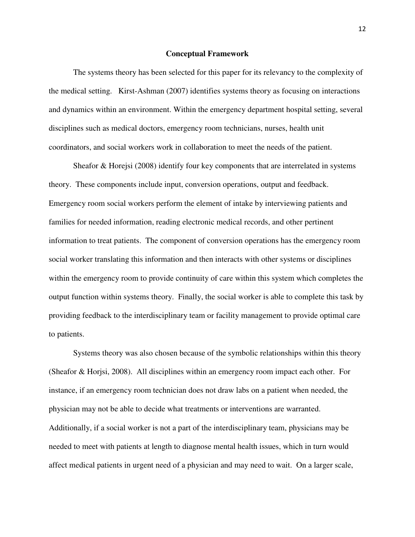#### **Conceptual Framework**

 The systems theory has been selected for this paper for its relevancy to the complexity of the medical setting. Kirst-Ashman (2007) identifies systems theory as focusing on interactions and dynamics within an environment. Within the emergency department hospital setting, several disciplines such as medical doctors, emergency room technicians, nurses, health unit coordinators, and social workers work in collaboration to meet the needs of the patient.

 Sheafor & Horejsi (2008) identify four key components that are interrelated in systems theory. These components include input, conversion operations, output and feedback. Emergency room social workers perform the element of intake by interviewing patients and families for needed information, reading electronic medical records, and other pertinent information to treat patients. The component of conversion operations has the emergency room social worker translating this information and then interacts with other systems or disciplines within the emergency room to provide continuity of care within this system which completes the output function within systems theory. Finally, the social worker is able to complete this task by providing feedback to the interdisciplinary team or facility management to provide optimal care to patients.

 Systems theory was also chosen because of the symbolic relationships within this theory (Sheafor & Horjsi, 2008). All disciplines within an emergency room impact each other. For instance, if an emergency room technician does not draw labs on a patient when needed, the physician may not be able to decide what treatments or interventions are warranted. Additionally, if a social worker is not a part of the interdisciplinary team, physicians may be needed to meet with patients at length to diagnose mental health issues, which in turn would affect medical patients in urgent need of a physician and may need to wait. On a larger scale,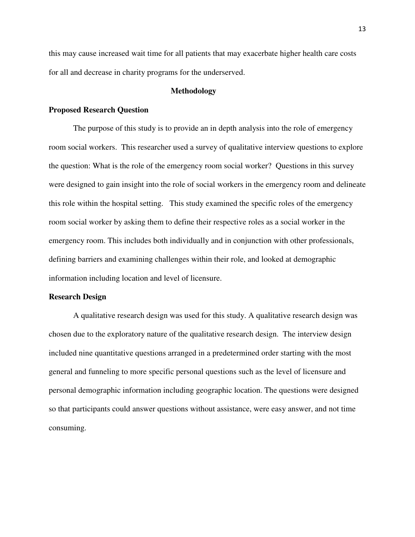this may cause increased wait time for all patients that may exacerbate higher health care costs for all and decrease in charity programs for the underserved.

#### **Methodology**

#### **Proposed Research Question**

The purpose of this study is to provide an in depth analysis into the role of emergency room social workers. This researcher used a survey of qualitative interview questions to explore the question: What is the role of the emergency room social worker? Questions in this survey were designed to gain insight into the role of social workers in the emergency room and delineate this role within the hospital setting. This study examined the specific roles of the emergency room social worker by asking them to define their respective roles as a social worker in the emergency room. This includes both individually and in conjunction with other professionals, defining barriers and examining challenges within their role, and looked at demographic information including location and level of licensure.

#### **Research Design**

A qualitative research design was used for this study. A qualitative research design was chosen due to the exploratory nature of the qualitative research design. The interview design included nine quantitative questions arranged in a predetermined order starting with the most general and funneling to more specific personal questions such as the level of licensure and personal demographic information including geographic location. The questions were designed so that participants could answer questions without assistance, were easy answer, and not time consuming.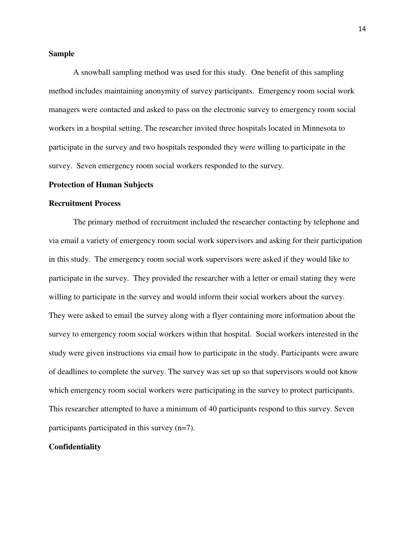#### **Sample**

A snowball sampling method was used for this study. One benefit of this sampling method includes maintaining anonymity of survey participants. Emergency room social work managers were contacted and asked to pass on the electronic survey to emergency room social workers in a hospital setting. The researcher invited three hospitals located in Minnesota to participate in the survey and two hospitals responded they were willing to participate in the survey. Seven emergency room social workers responded to the survey.

#### **Protection of Human Subjects**

#### **Recruitment Process**

The primary method of recruitment included the researcher contacting by telephone and via email a variety of emergency room social work supervisors and asking for their participation in this study. The emergency room social work supervisors were asked if they would like to participate in the survey. They provided the researcher with a letter or email stating they were willing to participate in the survey and would inform their social workers about the survey. They were asked to email the survey along with a flyer containing more information about the survey to emergency room social workers within that hospital. Social workers interested in the study were given instructions via email how to participate in the study. Participants were aware of deadlines to complete the survey. The survey was set up so that supervisors would not know which emergency room social workers were participating in the survey to protect participants. This researcher attempted to have a minimum of 40 participants respond to this survey. Seven participants participated in this survey (n=7).

#### **Confidentiality**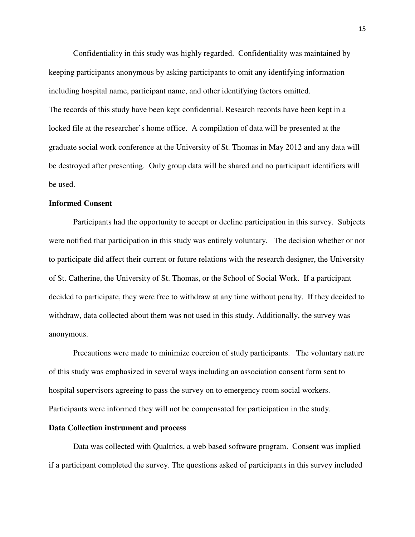Confidentiality in this study was highly regarded. Confidentiality was maintained by keeping participants anonymous by asking participants to omit any identifying information including hospital name, participant name, and other identifying factors omitted. The records of this study have been kept confidential. Research records have been kept in a locked file at the researcher's home office. A compilation of data will be presented at the graduate social work conference at the University of St. Thomas in May 2012 and any data will be destroyed after presenting. Only group data will be shared and no participant identifiers will be used.

## **Informed Consent**

Participants had the opportunity to accept or decline participation in this survey. Subjects were notified that participation in this study was entirely voluntary. The decision whether or not to participate did affect their current or future relations with the research designer, the University of St. Catherine, the University of St. Thomas, or the School of Social Work. If a participant decided to participate, they were free to withdraw at any time without penalty. If they decided to withdraw, data collected about them was not used in this study. Additionally, the survey was anonymous.

Precautions were made to minimize coercion of study participants. The voluntary nature of this study was emphasized in several ways including an association consent form sent to hospital supervisors agreeing to pass the survey on to emergency room social workers. Participants were informed they will not be compensated for participation in the study.

#### **Data Collection instrument and process**

 Data was collected with Qualtrics, a web based software program. Consent was implied if a participant completed the survey. The questions asked of participants in this survey included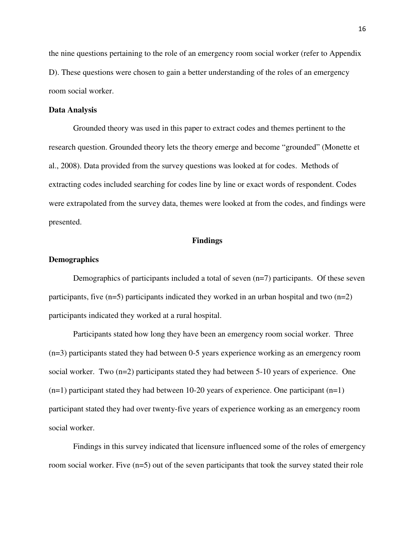the nine questions pertaining to the role of an emergency room social worker (refer to Appendix D). These questions were chosen to gain a better understanding of the roles of an emergency room social worker.

#### **Data Analysis**

Grounded theory was used in this paper to extract codes and themes pertinent to the research question. Grounded theory lets the theory emerge and become "grounded" (Monette et al., 2008). Data provided from the survey questions was looked at for codes. Methods of extracting codes included searching for codes line by line or exact words of respondent. Codes were extrapolated from the survey data, themes were looked at from the codes, and findings were presented.

#### **Findings**

#### **Demographics**

Demographics of participants included a total of seven (n=7) participants. Of these seven participants, five  $(n=5)$  participants indicated they worked in an urban hospital and two  $(n=2)$ participants indicated they worked at a rural hospital.

 Participants stated how long they have been an emergency room social worker. Three (n=3) participants stated they had between 0-5 years experience working as an emergency room social worker. Two (n=2) participants stated they had between 5-10 years of experience. One  $(n=1)$  participant stated they had between 10-20 years of experience. One participant  $(n=1)$ participant stated they had over twenty-five years of experience working as an emergency room social worker.

Findings in this survey indicated that licensure influenced some of the roles of emergency room social worker. Five (n=5) out of the seven participants that took the survey stated their role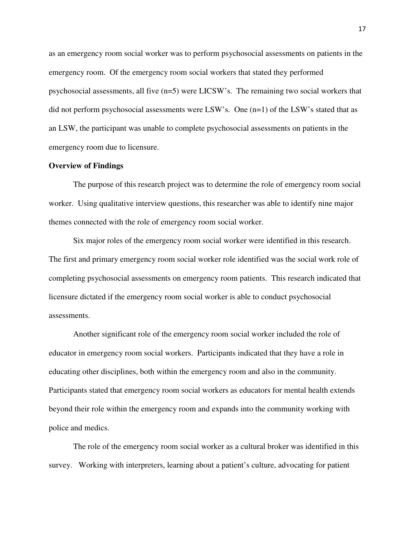as an emergency room social worker was to perform psychosocial assessments on patients in the emergency room. Of the emergency room social workers that stated they performed psychosocial assessments, all five (n=5) were LICSW's. The remaining two social workers that did not perform psychosocial assessments were LSW's. One (n=1) of the LSW's stated that as an LSW, the participant was unable to complete psychosocial assessments on patients in the emergency room due to licensure.

#### **Overview of Findings**

The purpose of this research project was to determine the role of emergency room social worker. Using qualitative interview questions, this researcher was able to identify nine major themes connected with the role of emergency room social worker.

Six major roles of the emergency room social worker were identified in this research. The first and primary emergency room social worker role identified was the social work role of completing psychosocial assessments on emergency room patients. This research indicated that licensure dictated if the emergency room social worker is able to conduct psychosocial assessments.

Another significant role of the emergency room social worker included the role of educator in emergency room social workers. Participants indicated that they have a role in educating other disciplines, both within the emergency room and also in the community. Participants stated that emergency room social workers as educators for mental health extends beyond their role within the emergency room and expands into the community working with police and medics.

 The role of the emergency room social worker as a cultural broker was identified in this survey. Working with interpreters, learning about a patient's culture, advocating for patient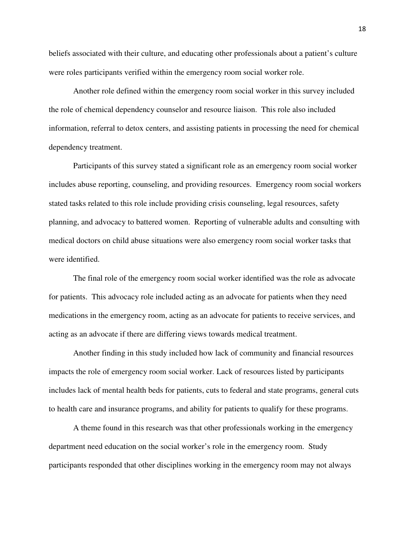beliefs associated with their culture, and educating other professionals about a patient's culture were roles participants verified within the emergency room social worker role.

 Another role defined within the emergency room social worker in this survey included the role of chemical dependency counselor and resource liaison. This role also included information, referral to detox centers, and assisting patients in processing the need for chemical dependency treatment.

 Participants of this survey stated a significant role as an emergency room social worker includes abuse reporting, counseling, and providing resources. Emergency room social workers stated tasks related to this role include providing crisis counseling, legal resources, safety planning, and advocacy to battered women. Reporting of vulnerable adults and consulting with medical doctors on child abuse situations were also emergency room social worker tasks that were identified.

 The final role of the emergency room social worker identified was the role as advocate for patients. This advocacy role included acting as an advocate for patients when they need medications in the emergency room, acting as an advocate for patients to receive services, and acting as an advocate if there are differing views towards medical treatment.

 Another finding in this study included how lack of community and financial resources impacts the role of emergency room social worker. Lack of resources listed by participants includes lack of mental health beds for patients, cuts to federal and state programs, general cuts to health care and insurance programs, and ability for patients to qualify for these programs.

 A theme found in this research was that other professionals working in the emergency department need education on the social worker's role in the emergency room.Study participants responded that other disciplines working in the emergency room may not always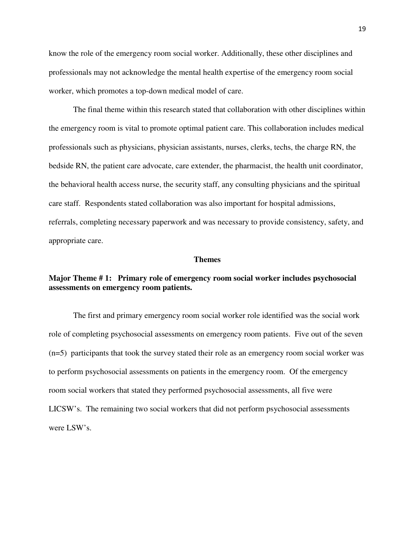know the role of the emergency room social worker. Additionally, these other disciplines and professionals may not acknowledge the mental health expertise of the emergency room social worker, which promotes a top-down medical model of care.

 The final theme within this research stated that collaboration with other disciplines within the emergency room is vital to promote optimal patient care. This collaboration includes medical professionals such as physicians, physician assistants, nurses, clerks, techs, the charge RN, the bedside RN, the patient care advocate, care extender, the pharmacist, the health unit coordinator, the behavioral health access nurse, the security staff, any consulting physicians and the spiritual care staff. Respondents stated collaboration was also important for hospital admissions, referrals, completing necessary paperwork and was necessary to provide consistency, safety, and appropriate care.

#### **Themes**

## **Major Theme # 1: Primary role of emergency room social worker includes psychosocial assessments on emergency room patients.**

 The first and primary emergency room social worker role identified was the social work role of completing psychosocial assessments on emergency room patients. Five out of the seven (n=5) participants that took the survey stated their role as an emergency room social worker was to perform psychosocial assessments on patients in the emergency room. Of the emergency room social workers that stated they performed psychosocial assessments, all five were LICSW's. The remaining two social workers that did not perform psychosocial assessments were LSW's.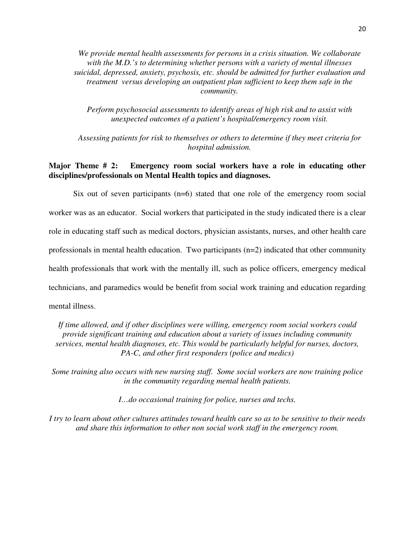*We provide mental health assessments for persons in a crisis situation. We collaborate with the M.D.'s to determining whether persons with a variety of mental illnesses suicidal, depressed, anxiety, psychosis, etc. should be admitted for further evaluation and treatment versus developing an outpatient plan sufficient to keep them safe in the community.* 

*Perform psychosocial assessments to identify areas of high risk and to assist with unexpected outcomes of a patient's hospital/emergency room visit.* 

*Assessing patients for risk to themselves or others to determine if they meet criteria for hospital admission.* 

## **Major Theme # 2: Emergency room social workers have a role in educating other disciplines/professionals on Mental Health topics and diagnoses.**

Six out of seven participants (n=6) stated that one role of the emergency room social worker was as an educator. Social workers that participated in the study indicated there is a clear role in educating staff such as medical doctors, physician assistants, nurses, and other health care professionals in mental health education. Two participants (n=2) indicated that other community health professionals that work with the mentally ill, such as police officers, emergency medical technicians, and paramedics would be benefit from social work training and education regarding mental illness.

*If time allowed, and if other disciplines were willing, emergency room social workers could provide significant training and education about a variety of issues including community services, mental health diagnoses, etc. This would be particularly helpful for nurses, doctors, PA-C, and other first responders (police and medics)* 

*Some training also occurs with new nursing staff. Some social workers are now training police in the community regarding mental health patients.* 

*I…do occasional training for police, nurses and techs.* 

*I try to learn about other cultures attitudes toward health care so as to be sensitive to their needs and share this information to other non social work staff in the emergency room.*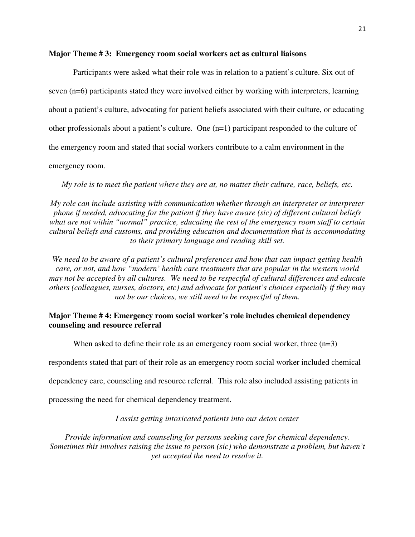#### **Major Theme # 3: Emergency room social workers act as cultural liaisons**

Participants were asked what their role was in relation to a patient's culture. Six out of seven (n=6) participants stated they were involved either by working with interpreters, learning about a patient's culture, advocating for patient beliefs associated with their culture, or educating other professionals about a patient's culture. One (n=1) participant responded to the culture of the emergency room and stated that social workers contribute to a calm environment in the

emergency room.

*My role is to meet the patient where they are at, no matter their culture, race, beliefs, etc.* 

*My role can include assisting with communication whether through an interpreter or interpreter phone if needed, advocating for the patient if they have aware (sic) of different cultural beliefs what are not within "normal" practice, educating the rest of the emergency room staff to certain cultural beliefs and customs, and providing education and documentation that is accommodating to their primary language and reading skill set.* 

*We need to be aware of a patient's cultural preferences and how that can impact getting health care, or not, and how "modern' health care treatments that are popular in the western world may not be accepted by all cultures. We need to be respectful of cultural differences and educate others (colleagues, nurses, doctors, etc) and advocate for patient's choices especially if they may not be our choices, we still need to be respectful of them.* 

## **Major Theme # 4: Emergency room social worker's role includes chemical dependency counseling and resource referral**

When asked to define their role as an emergency room social worker, three  $(n=3)$ 

respondents stated that part of their role as an emergency room social worker included chemical

dependency care, counseling and resource referral. This role also included assisting patients in

processing the need for chemical dependency treatment.

*I assist getting intoxicated patients into our detox center* 

*Provide information and counseling for persons seeking care for chemical dependency. Sometimes this involves raising the issue to person (sic) who demonstrate a problem, but haven't yet accepted the need to resolve it.*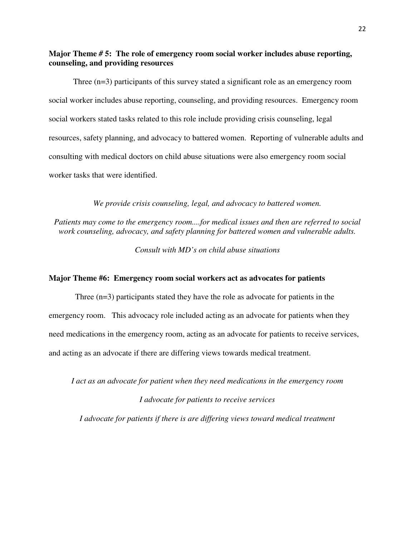**Major Theme** *#* **5: The role of emergency room social worker includes abuse reporting, counseling, and providing resources** 

Three (n=3) participants of this survey stated a significant role as an emergency room social worker includes abuse reporting, counseling, and providing resources. Emergency room social workers stated tasks related to this role include providing crisis counseling, legal resources, safety planning, and advocacy to battered women. Reporting of vulnerable adults and consulting with medical doctors on child abuse situations were also emergency room social worker tasks that were identified.

*We provide crisis counseling, legal, and advocacy to battered women.* 

*Patients may come to the emergency room....for medical issues and then are referred to social work counseling, advocacy, and safety planning for battered women and vulnerable adults.* 

*Consult with MD's on child abuse situations* 

#### **Major Theme #6: Emergency room social workers act as advocates for patients**

 Three (n=3) participants stated they have the role as advocate for patients in the emergency room. This advocacy role included acting as an advocate for patients when they need medications in the emergency room, acting as an advocate for patients to receive services, and acting as an advocate if there are differing views towards medical treatment.

*I act as an advocate for patient when they need medications in the emergency room* 

#### *I advocate for patients to receive services*

*I advocate for patients if there is are differing views toward medical treatment*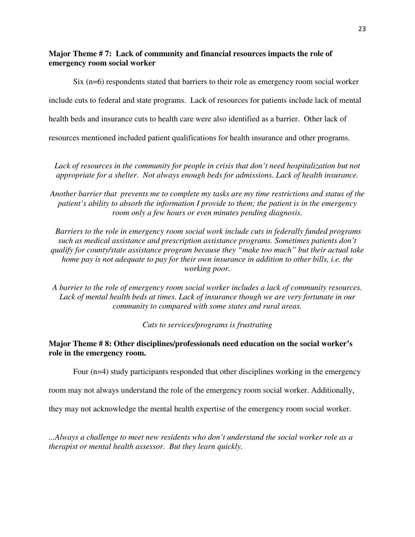## **Major Theme # 7: Lack of community and financial resources impacts the role of emergency room social worker**

Six (n=6) respondents stated that barriers to their role as emergency room social worker include cuts to federal and state programs. Lack of resources for patients include lack of mental health beds and insurance cuts to health care were also identified as a barrier. Other lack of resources mentioned included patient qualifications for health insurance and other programs.

*Lack of resources in the community for people in crisis that don't need hospitalization but not appropriate for a shelter. Not always enough beds for admissions. Lack of health insurance.* 

*Another barrier that prevents me to complete my tasks are my time restrictions and status of the patient's ability to absorb the information I provide to them; the patient is in the emergency room only a few hours or even minutes pending diagnosis.* 

 *Barriers to the role in emergency room social work include cuts in federally funded programs such as medical assistance and prescription assistance programs. Sometimes patients don't qualify for county/state assistance program because they "make too much" but their actual take home pay is not adequate to pay for their own insurance in addition to other bills, i.e. the working poor.* 

*A barrier to the role of emergency room social worker includes a lack of community resources.*  Lack of mental health beds at times. Lack of insurance though we are very fortunate in our *community to compared with some states and rural areas.* 

*Cuts to services/programs is frustrating* 

## **Major Theme # 8: Other disciplines/professionals need education on the social worker's role in the emergency room.**

Four (n=4) study participants responded that other disciplines working in the emergency

room may not always understand the role of the emergency room social worker. Additionally,

they may not acknowledge the mental health expertise of the emergency room social worker.

*...Always a challenge to meet new residents who don't understand the social worker role as a therapist or mental health assessor. But they learn quickly.*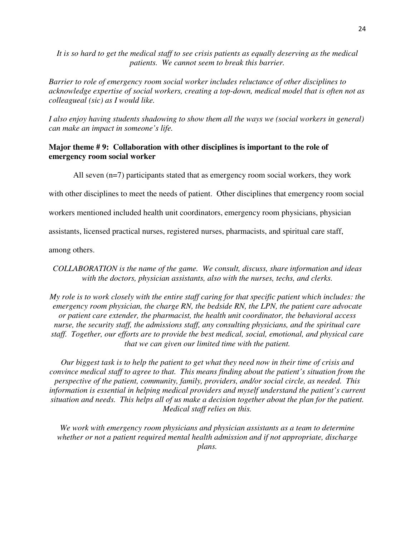*It is so hard to get the medical staff to see crisis patients as equally deserving as the medical patients. We cannot seem to break this barrier.* 

*Barrier to role of emergency room social worker includes reluctance of other disciplines to acknowledge expertise of social workers, creating a top-down, medical model that is often not as colleagueal (sic) as I would like.* 

*I also enjoy having students shadowing to show them all the ways we (social workers in general) can make an impact in someone's life.* 

## **Major theme # 9: Collaboration with other disciplines is important to the role of emergency room social worker**

All seven (n=7) participants stated that as emergency room social workers, they work

with other disciplines to meet the needs of patient. Other disciplines that emergency room social

workers mentioned included health unit coordinators, emergency room physicians, physician

assistants, licensed practical nurses, registered nurses, pharmacists, and spiritual care staff,

among others.

*COLLABORATION is the name of the game. We consult, discuss, share information and ideas with the doctors, physician assistants, also with the nurses, techs, and clerks.* 

*My role is to work closely with the entire staff caring for that specific patient which includes: the emergency room physician, the charge RN, the bedside RN, the LPN, the patient care advocate or patient care extender, the pharmacist, the health unit coordinator, the behavioral access nurse, the security staff, the admissions staff, any consulting physicians, and the spiritual care staff. Together, our efforts are to provide the best medical, social, emotional, and physical care that we can given our limited time with the patient.* 

*Our biggest task is to help the patient to get what they need now in their time of crisis and convince medical staff to agree to that. This means finding about the patient's situation from the perspective of the patient, community, family, providers, and/or social circle, as needed. This information is essential in helping medical providers and myself understand the patient's current situation and needs. This helps all of us make a decision together about the plan for the patient. Medical staff relies on this.* 

*We work with emergency room physicians and physician assistants as a team to determine whether or not a patient required mental health admission and if not appropriate, discharge plans.*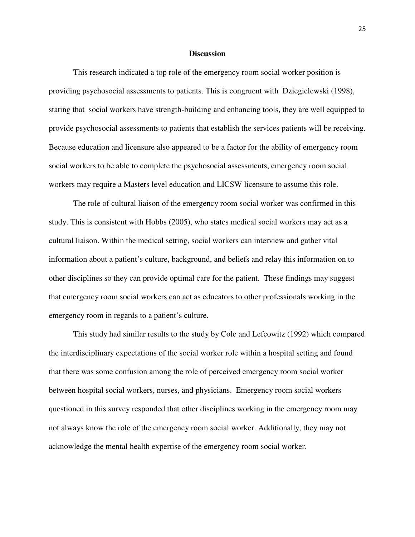#### **Discussion**

 This research indicated a top role of the emergency room social worker position is providing psychosocial assessments to patients. This is congruent with Dziegielewski (1998), stating that social workers have strength-building and enhancing tools, they are well equipped to provide psychosocial assessments to patients that establish the services patients will be receiving. Because education and licensure also appeared to be a factor for the ability of emergency room social workers to be able to complete the psychosocial assessments, emergency room social workers may require a Masters level education and LICSW licensure to assume this role.

 The role of cultural liaison of the emergency room social worker was confirmed in this study. This is consistent with Hobbs (2005), who states medical social workers may act as a cultural liaison. Within the medical setting, social workers can interview and gather vital information about a patient's culture, background, and beliefs and relay this information on to other disciplines so they can provide optimal care for the patient. These findings may suggest that emergency room social workers can act as educators to other professionals working in the emergency room in regards to a patient's culture.

 This study had similar results to the study by Cole and Lefcowitz (1992) which compared the interdisciplinary expectations of the social worker role within a hospital setting and found that there was some confusion among the role of perceived emergency room social worker between hospital social workers, nurses, and physicians. Emergency room social workers questioned in this survey responded that other disciplines working in the emergency room may not always know the role of the emergency room social worker. Additionally, they may not acknowledge the mental health expertise of the emergency room social worker.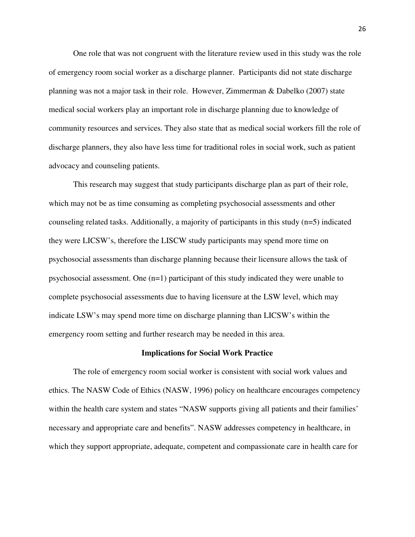One role that was not congruent with the literature review used in this study was the role of emergency room social worker as a discharge planner. Participants did not state discharge planning was not a major task in their role. However, Zimmerman & Dabelko (2007) state medical social workers play an important role in discharge planning due to knowledge of community resources and services. They also state that as medical social workers fill the role of discharge planners, they also have less time for traditional roles in social work, such as patient advocacy and counseling patients.

 This research may suggest that study participants discharge plan as part of their role, which may not be as time consuming as completing psychosocial assessments and other counseling related tasks. Additionally, a majority of participants in this study (n=5) indicated they were LICSW's, therefore the LISCW study participants may spend more time on psychosocial assessments than discharge planning because their licensure allows the task of psychosocial assessment. One (n=1) participant of this study indicated they were unable to complete psychosocial assessments due to having licensure at the LSW level, which may indicate LSW's may spend more time on discharge planning than LICSW's within the emergency room setting and further research may be needed in this area.

#### **Implications for Social Work Practice**

The role of emergency room social worker is consistent with social work values and ethics. The NASW Code of Ethics (NASW, 1996) policy on healthcare encourages competency within the health care system and states "NASW supports giving all patients and their families' necessary and appropriate care and benefits". NASW addresses competency in healthcare, in which they support appropriate, adequate, competent and compassionate care in health care for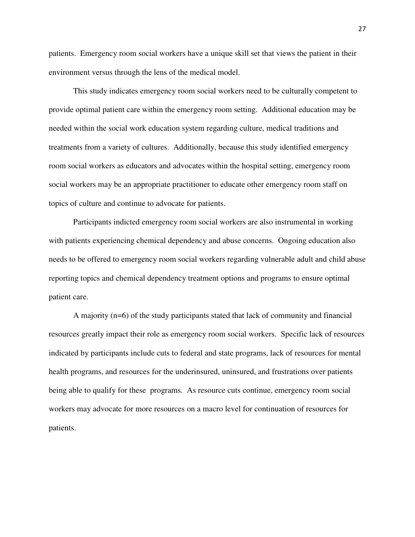patients. Emergency room social workers have a unique skill set that views the patient in their environment versus through the lens of the medical model.

This study indicates emergency room social workers need to be culturally competent to provide optimal patient care within the emergency room setting. Additional education may be needed within the social work education system regarding culture, medical traditions and treatments from a variety of cultures. Additionally, because this study identified emergency room social workers as educators and advocates within the hospital setting, emergency room social workers may be an appropriate practitioner to educate other emergency room staff on topics of culture and continue to advocate for patients.

Participants indicted emergency room social workers are also instrumental in working with patients experiencing chemical dependency and abuse concerns. Ongoing education also needs to be offered to emergency room social workers regarding vulnerable adult and child abuse reporting topics and chemical dependency treatment options and programs to ensure optimal patient care.

A majority (n=6) of the study participants stated that lack of community and financial resources greatly impact their role as emergency room social workers. Specific lack of resources indicated by participants include cuts to federal and state programs, lack of resources for mental health programs, and resources for the underinsured, uninsured, and frustrations over patients being able to qualify for these programs. As resource cuts continue, emergency room social workers may advocate for more resources on a macro level for continuation of resources for patients.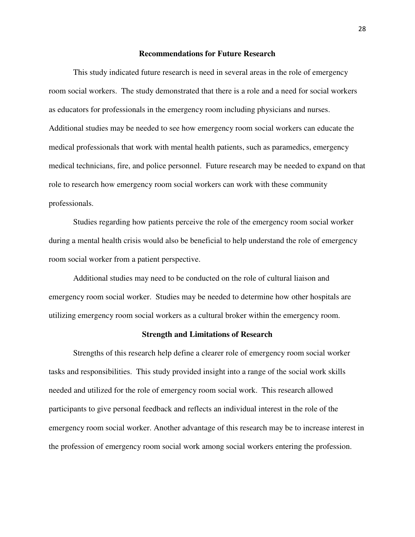#### **Recommendations for Future Research**

 This study indicated future research is need in several areas in the role of emergency room social workers. The study demonstrated that there is a role and a need for social workers as educators for professionals in the emergency room including physicians and nurses. Additional studies may be needed to see how emergency room social workers can educate the medical professionals that work with mental health patients, such as paramedics, emergency medical technicians, fire, and police personnel. Future research may be needed to expand on that role to research how emergency room social workers can work with these community professionals.

 Studies regarding how patients perceive the role of the emergency room social worker during a mental health crisis would also be beneficial to help understand the role of emergency room social worker from a patient perspective.

Additional studies may need to be conducted on the role of cultural liaison and emergency room social worker. Studies may be needed to determine how other hospitals are utilizing emergency room social workers as a cultural broker within the emergency room.

#### **Strength and Limitations of Research**

Strengths of this research help define a clearer role of emergency room social worker tasks and responsibilities. This study provided insight into a range of the social work skills needed and utilized for the role of emergency room social work. This research allowed participants to give personal feedback and reflects an individual interest in the role of the emergency room social worker. Another advantage of this research may be to increase interest in the profession of emergency room social work among social workers entering the profession.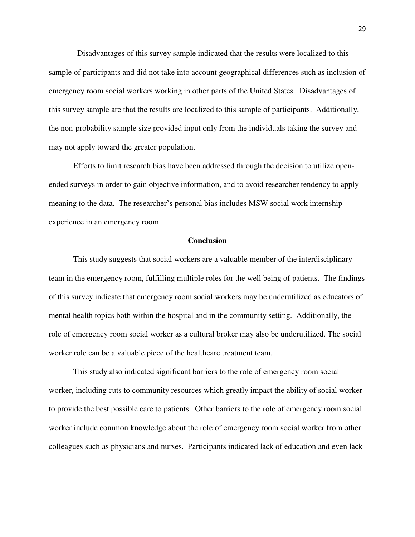Disadvantages of this survey sample indicated that the results were localized to this sample of participants and did not take into account geographical differences such as inclusion of emergency room social workers working in other parts of the United States. Disadvantages of this survey sample are that the results are localized to this sample of participants. Additionally, the non-probability sample size provided input only from the individuals taking the survey and may not apply toward the greater population.

 Efforts to limit research bias have been addressed through the decision to utilize openended surveys in order to gain objective information, and to avoid researcher tendency to apply meaning to the data. The researcher's personal bias includes MSW social work internship experience in an emergency room.

#### **Conclusion**

This study suggests that social workers are a valuable member of the interdisciplinary team in the emergency room, fulfilling multiple roles for the well being of patients. The findings of this survey indicate that emergency room social workers may be underutilized as educators of mental health topics both within the hospital and in the community setting. Additionally, the role of emergency room social worker as a cultural broker may also be underutilized. The social worker role can be a valuable piece of the healthcare treatment team.

 This study also indicated significant barriers to the role of emergency room social worker, including cuts to community resources which greatly impact the ability of social worker to provide the best possible care to patients. Other barriers to the role of emergency room social worker include common knowledge about the role of emergency room social worker from other colleagues such as physicians and nurses. Participants indicated lack of education and even lack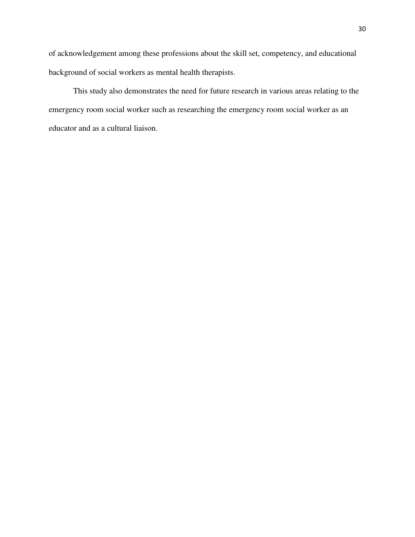of acknowledgement among these professions about the skill set, competency, and educational background of social workers as mental health therapists.

 This study also demonstrates the need for future research in various areas relating to the emergency room social worker such as researching the emergency room social worker as an educator and as a cultural liaison.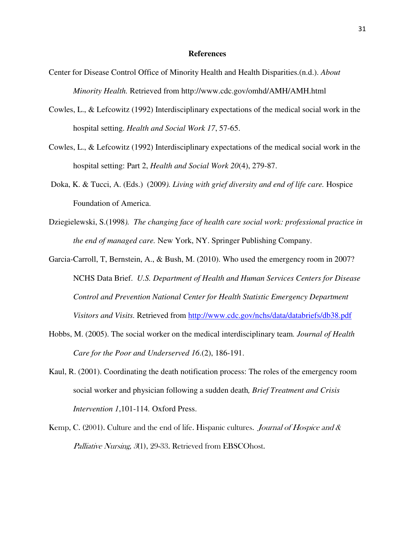#### **References**

- Center for Disease Control Office of Minority Health and Health Disparities.(n.d.). *About Minority Health.* Retrieved from http://www.cdc.gov/omhd/AMH/AMH.html
- Cowles, L., & Lefcowitz (1992) Interdisciplinary expectations of the medical social work in the hospital setting. *Health and Social Work 17*, 57-65.
- Cowles, L., & Lefcowitz (1992) Interdisciplinary expectations of the medical social work in the hospital setting: Part 2, *Health and Social Work 20*(4), 279-87.
- Doka, K. & Tucci, A. (Eds.) (2009*). Living with grief diversity and end of life care.* Hospice Foundation of America.
- Dziegielewski, S.(1998*). The changing face of health care social work: professional practice in the end of managed care.* New York, NY. Springer Publishing Company.
- Garcia-Carroll, T, Bernstein, A., & Bush, M. (2010). Who used the emergency room in 2007? NCHS Data Brief. *U.S. Department of Health and Human Services Centers for Disease Control and Prevention National Center for Health Statistic Emergency Department Visitors and Visits.* Retrieved from http://www.cdc.gov/nchs/data/databriefs/db38.pdf
- Hobbs, M. (2005). The social worker on the medical interdisciplinary team*. Journal of Health Care for the Poor and Underserved 16*.(2), 186-191.
- Kaul, R. (2001). Coordinating the death notification process: The roles of the emergency room social worker and physician following a sudden death*, Brief Treatment and Crisis Intervention 1*,101-114*.* Oxford Press.
- Kemp, C. (2001). Culture and the end of life. Hispanic cultures. *Journal of Hospice and*  $\&$ Palliative Nursing, 3(1), 29-33. Retrieved from EBSCOhost.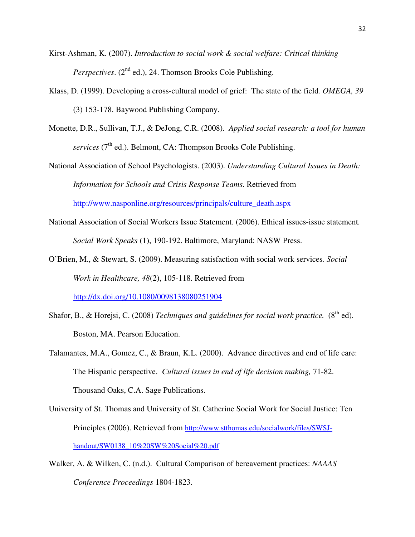- Kirst-Ashman, K. (2007). *Introduction to social work & social welfare: Critical thinking Perspectives.* (2<sup>nd</sup> ed.), 24. Thomson Brooks Cole Publishing.
- Klass, D. (1999). Developing a cross-cultural model of grief: The state of the field*. OMEGA, 39* (3) 153-178. Baywood Publishing Company.
- Monette, D.R., Sullivan, T.J., & DeJong, C.R. (2008). *Applied social research: a tool for human services* (7<sup>th</sup> ed.). Belmont, CA: Thompson Brooks Cole Publishing.
- National Association of School Psychologists. (2003). *Understanding Cultural Issues in Death: Information for Schools and Crisis Response Teams*. Retrieved from http://www.nasponline.org/resources/principals/culture\_death.aspx
- National Association of Social Workers Issue Statement. (2006). Ethical issues-issue statement*. Social Work Speaks* (1), 190-192. Baltimore, Maryland: NASW Press.
- O'Brien, M., & Stewart, S. (2009). Measuring satisfaction with social work services*. Social Work in Healthcare, 48*(2), 105-118. Retrieved from http://dx.doi.org/10.1080/0098138080251904
- Shafor, B., & Horejsi, C. (2008) *Techniques and guidelines for social work practice.* (8<sup>th</sup> ed). Boston, MA. Pearson Education.
- Talamantes, M.A., Gomez, C., & Braun, K.L. (2000). Advance directives and end of life care: The Hispanic perspective. *Cultural issues in end of life decision making,* 71-82. Thousand Oaks, C.A. Sage Publications.
- University of St. Thomas and University of St. Catherine Social Work for Social Justice: Ten Principles (2006). Retrieved from http://www.stthomas.edu/socialwork/files/SWSJhandout/SW0138\_10%20SW%20Social%20.pdf
- Walker, A. & Wilken, C. (n.d.). Cultural Comparison of bereavement practices: *NAAAS Conference Proceedings* 1804-1823.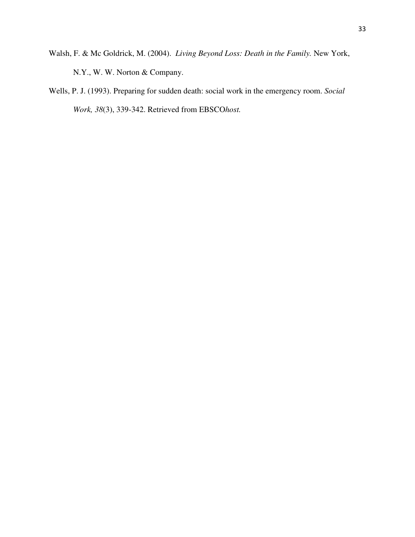- Walsh, F. & Mc Goldrick, M. (2004). *Living Beyond Loss: Death in the Family.* New York, N.Y., W. W. Norton & Company.
- Wells, P. J. (1993). Preparing for sudden death: social work in the emergency room. *Social Work, 38*(3), 339-342. Retrieved from EBSCO*host.*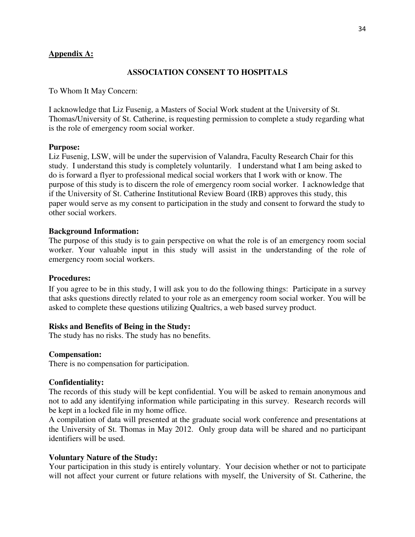## **Appendix A:**

#### **ASSOCIATION CONSENT TO HOSPITALS**

To Whom It May Concern:

I acknowledge that Liz Fusenig, a Masters of Social Work student at the University of St. Thomas/University of St. Catherine, is requesting permission to complete a study regarding what is the role of emergency room social worker.

#### **Purpose:**

Liz Fusenig, LSW, will be under the supervision of Valandra, Faculty Research Chair for this study. I understand this study is completely voluntarily. I understand what I am being asked to do is forward a flyer to professional medical social workers that I work with or know. The purpose of this study is to discern the role of emergency room social worker. I acknowledge that if the University of St. Catherine Institutional Review Board (IRB) approves this study, this paper would serve as my consent to participation in the study and consent to forward the study to other social workers.

#### **Background Information:**

The purpose of this study is to gain perspective on what the role is of an emergency room social worker. Your valuable input in this study will assist in the understanding of the role of emergency room social workers.

#### **Procedures:**

If you agree to be in this study, I will ask you to do the following things: Participate in a survey that asks questions directly related to your role as an emergency room social worker. You will be asked to complete these questions utilizing Qualtrics, a web based survey product.

#### **Risks and Benefits of Being in the Study:**

The study has no risks. The study has no benefits.

#### **Compensation:**

There is no compensation for participation.

#### **Confidentiality:**

The records of this study will be kept confidential. You will be asked to remain anonymous and not to add any identifying information while participating in this survey. Research records will be kept in a locked file in my home office.

A compilation of data will presented at the graduate social work conference and presentations at the University of St. Thomas in May 2012. Only group data will be shared and no participant identifiers will be used.

#### **Voluntary Nature of the Study:**

Your participation in this study is entirely voluntary. Your decision whether or not to participate will not affect your current or future relations with myself, the University of St. Catherine, the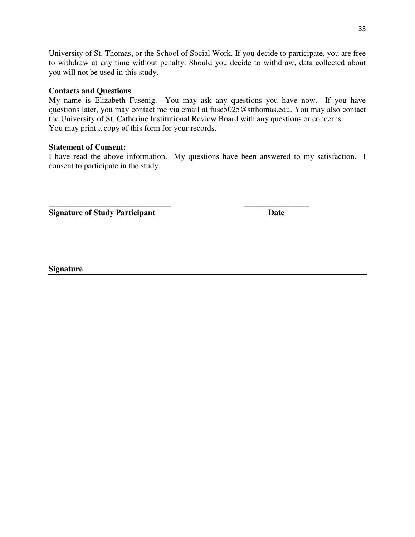University of St. Thomas, or the School of Social Work. If you decide to participate, you are free to withdraw at any time without penalty. Should you decide to withdraw, data collected about you will not be used in this study.

## **Contacts and Questions**

My name is Elizabeth Fusenig. You may ask any questions you have now. If you have questions later, you may contact me via email at fuse5025@stthomas.edu. You may also contact the University of St. Catherine Institutional Review Board with any questions or concerns. You may print a copy of this form for your records.

## **Statement of Consent:**

I have read the above information. My questions have been answered to my satisfaction. I consent to participate in the study.

\_\_\_\_\_\_\_\_\_\_\_\_\_\_\_\_\_\_\_\_\_\_\_\_\_\_\_\_\_\_ \_\_\_\_\_\_\_\_\_\_\_\_\_\_\_\_

**Signature of Study Participant Date Date** 

**Signature**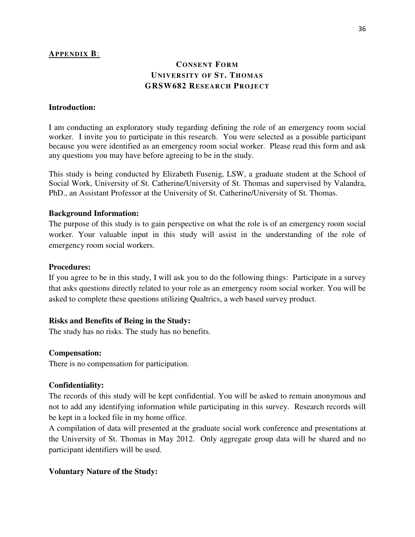## **APPENDIX B**:

## **CONSENT FORM UNIVERSITY OF ST. THOMAS GRSW682 RESEARCH PROJECT**

## **Introduction:**

I am conducting an exploratory study regarding defining the role of an emergency room social worker. I invite you to participate in this research. You were selected as a possible participant because you were identified as an emergency room social worker. Please read this form and ask any questions you may have before agreeing to be in the study.

This study is being conducted by Elizabeth Fusenig, LSW, a graduate student at the School of Social Work, University of St. Catherine/University of St. Thomas and supervised by Valandra, PhD., an Assistant Professor at the University of St. Catherine/University of St. Thomas.

## **Background Information:**

The purpose of this study is to gain perspective on what the role is of an emergency room social worker. Your valuable input in this study will assist in the understanding of the role of emergency room social workers.

## **Procedures:**

If you agree to be in this study, I will ask you to do the following things: Participate in a survey that asks questions directly related to your role as an emergency room social worker. You will be asked to complete these questions utilizing Qualtrics, a web based survey product.

### **Risks and Benefits of Being in the Study:**

The study has no risks. The study has no benefits.

### **Compensation:**

There is no compensation for participation.

### **Confidentiality:**

The records of this study will be kept confidential. You will be asked to remain anonymous and not to add any identifying information while participating in this survey. Research records will be kept in a locked file in my home office.

A compilation of data will presented at the graduate social work conference and presentations at the University of St. Thomas in May 2012. Only aggregate group data will be shared and no participant identifiers will be used.

## **Voluntary Nature of the Study:**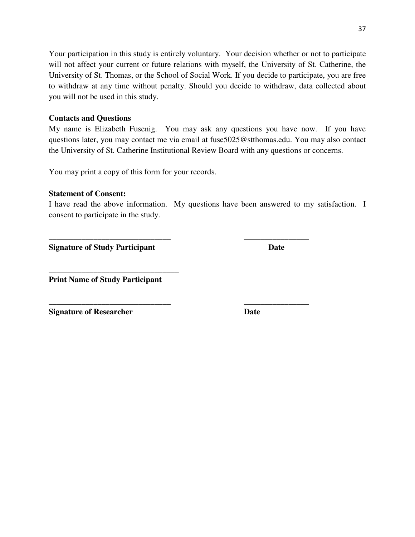Your participation in this study is entirely voluntary. Your decision whether or not to participate will not affect your current or future relations with myself, the University of St. Catherine, the University of St. Thomas, or the School of Social Work. If you decide to participate, you are free to withdraw at any time without penalty. Should you decide to withdraw, data collected about you will not be used in this study.

## **Contacts and Questions**

My name is Elizabeth Fusenig. You may ask any questions you have now. If you have questions later, you may contact me via email at fuse5025@stthomas.edu. You may also contact the University of St. Catherine Institutional Review Board with any questions or concerns.

You may print a copy of this form for your records.

## **Statement of Consent:**

I have read the above information. My questions have been answered to my satisfaction. I consent to participate in the study.

\_\_\_\_\_\_\_\_\_\_\_\_\_\_\_\_\_\_\_\_\_\_\_\_\_\_\_\_\_\_ \_\_\_\_\_\_\_\_\_\_\_\_\_\_\_\_

\_\_\_\_\_\_\_\_\_\_\_\_\_\_\_\_\_\_\_\_\_\_\_\_\_\_\_\_\_\_ \_\_\_\_\_\_\_\_\_\_\_\_\_\_\_\_

**Signature of Study Participant Date Date Construction Date** 

\_\_\_\_\_\_\_\_\_\_\_\_\_\_\_\_\_\_\_\_\_\_\_\_\_\_\_\_\_\_\_\_ **Print Name of Study Participant** 

**Signature of Researcher Date Date**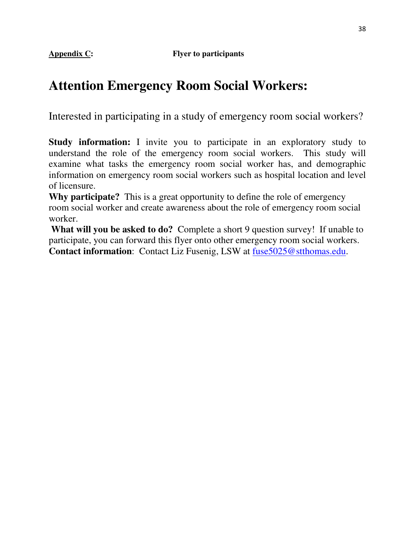**Appendix C: Flyer to participants** 

# **Attention Emergency Room Social Workers:**

Interested in participating in a study of emergency room social workers?

**Study information:** I invite you to participate in an exploratory study to understand the role of the emergency room social workers. This study will examine what tasks the emergency room social worker has, and demographic information on emergency room social workers such as hospital location and level of licensure.

**Why participate?** This is a great opportunity to define the role of emergency room social worker and create awareness about the role of emergency room social worker.

**What will you be asked to do?** Complete a short 9 question survey! If unable to participate, you can forward this flyer onto other emergency room social workers. **Contact information**: Contact Liz Fusenig, LSW at fuse5025@stthomas.edu.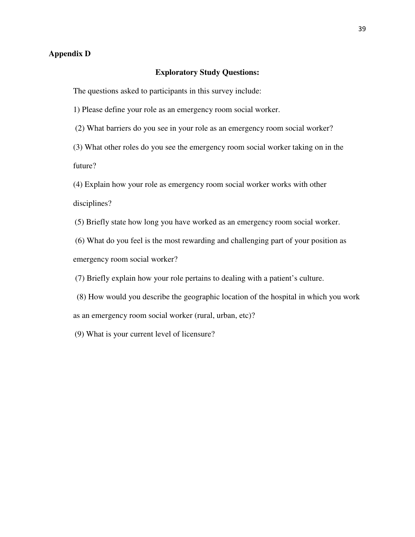## **Appendix D**

#### **Exploratory Study Questions:**

The questions asked to participants in this survey include:

1) Please define your role as an emergency room social worker.

(2) What barriers do you see in your role as an emergency room social worker?

(3) What other roles do you see the emergency room social worker taking on in the future?

(4) Explain how your role as emergency room social worker works with other disciplines?

(5) Briefly state how long you have worked as an emergency room social worker.

 (6) What do you feel is the most rewarding and challenging part of your position as emergency room social worker?

(7) Briefly explain how your role pertains to dealing with a patient's culture.

 (8) How would you describe the geographic location of the hospital in which you work as an emergency room social worker (rural, urban, etc)?

(9) What is your current level of licensure?